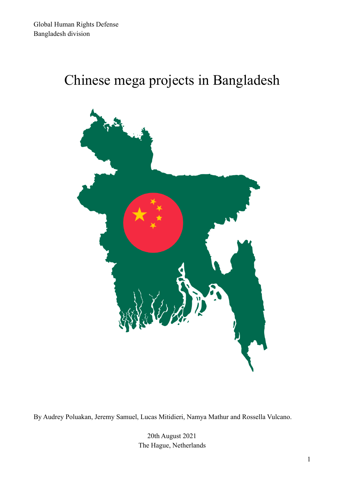# Chinese mega projects in Bangladesh



By Audrey Poluakan, Jeremy Samuel, Lucas Mitidieri, Namya Mathur and Rossella Vulcano.

20th August 2021 The Hague, Netherlands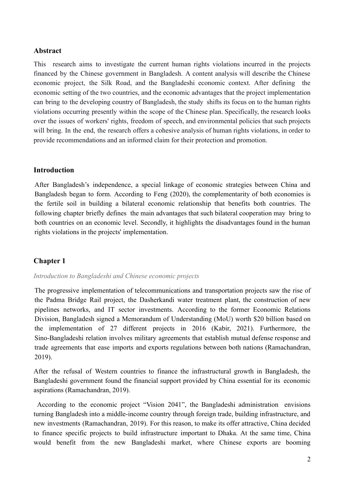#### **Abstract**

This research aims to investigate the current human rights violations incurred in the projects financed by the Chinese government in Bangladesh. A content analysis will describe the Chinese economic project, the Silk Road, and the Bangladeshi economic context. After defining the economic setting of the two countries, and the economic advantages that the project implementation can bring to the developing country of Bangladesh, the study shifts its focus on to the human rights violations occurring presently within the scope of the Chinese plan. Specifically, the research looks over the issues of workers' rights, freedom of speech, and environmental policies that such projects will bring. In the end, the research offers a cohesive analysis of human rights violations, in order to provide recommendations and an informed claim for their protection and promotion.

#### **Introduction**

After Bangladesh's independence, a special linkage of economic strategies between China and Bangladesh began to form. According to Feng (2020), the complementarity of both economies is the fertile soil in building a bilateral economic relationship that benefits both countries. The following chapter briefly defines the main advantages that such bilateral cooperation may bring to both countries on an economic level. Secondly, it highlights the disadvantages found in the human rights violations in the projects' implementation.

## **Chapter 1**

#### *Introduction to Bangladeshi and Chinese economic projects*

The progressive implementation of telecommunications and transportation projects saw the rise of the Padma Bridge Rail project, the Dasherkandi water treatment plant, the construction of new pipelines networks, and IT sector investments. According to the former Economic Relations Division, Bangladesh signed a Memorandum of Understanding (MoU) worth \$20 billion based on the implementation of 27 different projects in 2016 (Kabir, 2021). Furthermore, the Sino-Bangladeshi relation involves military agreements that establish mutual defense response and trade agreements that ease imports and exports regulations between both nations ([Ramachandran,](https://thediplomat.com/authors/sudha-ramachandran/) 2019).

After the refusal of Western countries to finance the infrastructural growth in Bangladesh, the Bangladeshi government found the financial support provided by China essential for its economic aspirations [\(Ramachandran](https://thediplomat.com/authors/sudha-ramachandran/), 2019).

According to the economic project "Vision 2041", the Bangladeshi administration envisions turning Bangladesh into a middle-income country through foreign trade, building infrastructure, and new investments [\(Ramachandran](https://thediplomat.com/authors/sudha-ramachandran/), 2019). For this reason, to make its offer attractive, China decided to finance specific projects to build infrastructure important to Dhaka. At the same time, China would benefit from the new Bangladeshi market, where Chinese exports are booming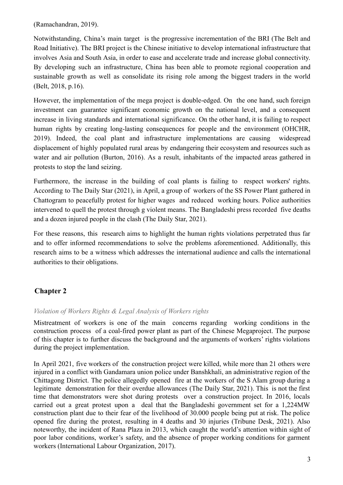[\(Ramachandran](https://thediplomat.com/authors/sudha-ramachandran/), 2019).

Notwithstanding, China's main target is the progressive incrementation of the BRI (The Belt and Road Initiative). The BRI project is the Chinese initiative to develop international infrastructure that involves Asia and South Asia, in order to ease and accelerate trade and increase global connectivity. By developing such an infrastructure, China has been able to promote regional cooperation and sustainable growth as well as consolidate its rising role among the biggest traders in the world (Belt, 2018, p.16).

However, the implementation of the mega project is double-edged. On the one hand, such foreign investment can guarantee significant economic growth on the national level, and a consequent increase in living standards and international significance. On the other hand, it is failing to respect human rights by creating long-lasting consequences for people and the environment (OHCHR, 2019). Indeed, the coal plant and infrastructure implementations are causing widespread displacement of highly populated rural areas by endangering their ecosystem and resources such as water and air pollution (Burton, 2016). As a result, inhabitants of the impacted areas gathered in protests to stop the land seizing.

Furthermore, the increase in the building of coal plants is failing to respect workers' rights. According to The Daily Star (2021), in April, a group of workers of the SS Power Plant gathered in Chattogram to peacefully protest for higher wages and reduced working hours. Police authorities intervened to quell the protest through g violent means. The Bangladeshi press recorded five deaths and a dozen injured people in the clash (The Daily Star, 2021).

For these reasons, this research aims to highlight the human rights violations perpetrated thus far and to offer informed recommendations to solve the problems aforementioned. Additionally, this research aims to be a witness which addresses the international audience and calls the international authorities to their obligations.

## **Chapter 2**

#### *Violation of Workers Rights & Legal Analysis of Workers rights*

Mistreatment of workers is one of the main concerns regarding working conditions in the construction process of a coal-fired power plant as part of the Chinese Megaproject. The purpose of this chapter is to further discuss the background and the arguments of workers' rights violations during the project implementation.

In April 2021, five workers of the construction project were killed, while more than 21 others were injured in a conflict with Gandamara union police under Banshkhali, an administrative region of the Chittagong District. The police allegedly opened fire at the workers of the S Alam group during a legitimate demonstration for their overdue allowances (The Daily Star, 2021). This is not the first time that demonstrators were shot during protests over a construction project. In 2016, locals carried out a great protest upon a deal that the Bangladeshi government set for a 1,224MW construction plant due to their fear of the livelihood of 30.000 people being put at risk. The police opened fire during the protest, resulting in 4 deaths and 30 injuries (Tribune Desk, 2021). Also noteworthy, the incident of Rana Plaza in 2013, which caught the world's attention within sight of poor labor conditions, worker's safety, and the absence of proper working conditions for garment workers (International Labour Organization, 2017).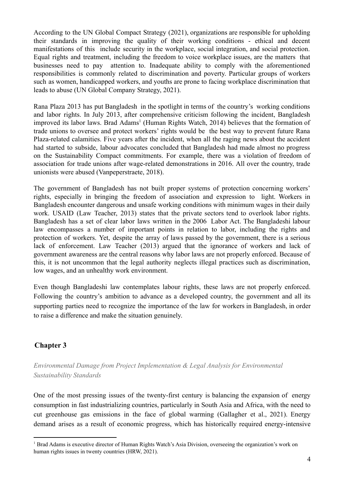According to the UN Global Compact Strategy (2021), organizations are responsible for upholding their standards in improving the quality of their working conditions - ethical and decent manifestations of this include security in the workplace, social integration, and social protection. Equal rights and treatment, including the freedom to voice workplace issues, are the matters that businesses need to pay attention to. Inadequate ability to comply with the aforementioned responsibilities is commonly related to discrimination and poverty. Particular groups of workers such as women, handicapped workers, and youths are prone to facing workplace discrimination that leads to abuse (UN Global Company Strategy, 2021).

Rana Plaza 2013 has put Bangladesh in the spotlight in terms of the country's working conditions and labor rights. In July 2013, after comprehensive criticism following the incident, Bangladesh improved its labor laws. Brad Adams<sup>1</sup> (Human Rights Watch, 2014) believes that the formation of trade unions to oversee and protect workers' rights would be the best way to prevent future Rana Plaza-related calamities. Five years after the incident, when all the raging news about the accident had started to subside, labour advocates concluded that Bangladesh had made almost no progress on the Sustainability Compact commitments. For example, there was a violation of freedom of association for trade unions after wage-related demonstrations in 2016. All over the country, trade unionists were abused (Vanpeperstraete, 2018).

The government of Bangladesh has not built proper systems of protection concerning workers' rights, especially in bringing the freedom of association and expression to light. Workers in Bangladesh encounter dangerous and unsafe working conditions with minimum wages in their daily work. USAID (Law Teacher, 2013) states that the private sectors tend to overlook labor rights. Bangladesh has a set of clear labor laws written in the 2006 Labor Act. The Bangladeshi labour law encompasses a number of important points in relation to labor, including the rights and protection of workers. Yet, despite the array of laws passed by the government, there is a serious lack of enforcement. Law Teacher (2013) argued that the ignorance of workers and lack of government awareness are the central reasons why labor laws are not properly enforced. Because of this, it is not uncommon that the legal authority neglects illegal practices such as discrimination, low wages, and an unhealthy work environment.

Even though Bangladeshi law contemplates labour rights, these laws are not properly enforced. Following the country's ambition to advance as a developed country, the government and all its supporting parties need to recognize the importance of the law for workers in Bangladesh, in order to raise a difference and make the situation genuinely.

# **Chapter 3**

*Environmental Damage from Project Implementation & Legal Analysis for Environmental Sustainability Standards*

One of the most pressing issues of the twenty-first century is balancing the expansion of energy consumption in fast industrializing countries, particularly in South Asia and Africa, with the need to cut greenhouse gas emissions in the face of global warming (Gallagher et al., 2021). Energy demand arises as a result of economic progress, which has historically required energy-intensive

<sup>&</sup>lt;sup>1</sup> Brad Adams is executive director of Human Rights Watch's Asia Division, overseeing the organization's work on human rights issues in twenty countries (HRW, 2021).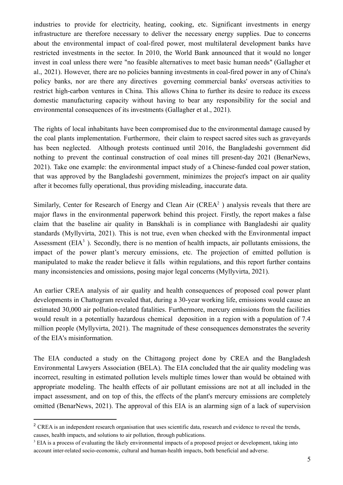industries to provide for electricity, heating, cooking, etc. Significant investments in energy infrastructure are therefore necessary to deliver the necessary energy supplies. Due to concerns about the environmental impact of coal-fired power, most multilateral development banks have restricted investments in the sector. In 2010, the World Bank announced that it would no longer invest in coal unless there were "no feasible alternatives to meet basic human needs" (Gallagher et al., 2021). However, there are no policies banning investments in coal-fired power in any of China's policy banks, nor are there any directives governing commercial banks' overseas activities to restrict high-carbon ventures in China. This allows China to further its desire to reduce its excess domestic manufacturing capacity without having to bear any responsibility for the social and environmental consequences of its investments (Gallagher et al., 2021).

The rights of local inhabitants have been compromised due to the environmental damage caused by the coal plants implementation. Furthermore, their claim to respect sacred sites such as graveyards has been neglected. Although protests continued until 2016, the Bangladeshi government did nothing to prevent the continual construction of coal mines till present-day 2021 (BenarNews, 2021). Take one example: the environmental impact study of a Chinese-funded coal power station, that was approved by the Bangladeshi government, minimizes the project's impact on air quality after it becomes fully operational, thus providing misleading, inaccurate data.

Similarly, Center for Research of Energy and Clean Air ( $CREA<sup>2</sup>$ ) analysis reveals that there are major flaws in the environmental paperwork behind this project. Firstly, the report makes a false claim that the baseline air quality in Banskhali is in compliance with Bangladeshi air quality standards (Myllyvirta, 2021). This is not true, even when checked with the Environmental impact Assessment ( $EIA<sup>3</sup>$ ). Secondly, there is no mention of health impacts, air pollutants emissions, the impact of the power plant's mercury emissions, etc. The projection of emitted pollution is manipulated to make the reader believe it falls within regulations, and this report further contains many inconsistencies and omissions, posing major legal concerns (Myllyvirta, 2021).

An earlier CREA analysis of air quality and health consequences of proposed coal power plant developments in Chattogram revealed that, during a 30-year working life, emissions would cause an estimated 30,000 air pollution-related fatalities. Furthermore, mercury emissions from the facilities would result in a potentially hazardous chemical deposition in a region with a population of 7.4 million people (Myllyvirta, 2021). The magnitude of these consequences demonstrates the severity of the EIA's misinformation.

The EIA conducted a study on the Chittagong project done by CREA and the Bangladesh Environmental Lawyers Association (BELA). The EIA concluded that the air quality modeling was incorrect, resulting in estimated pollution levels multiple times lower than would be obtained with appropriate modeling. The health effects of air pollutant emissions are not at all included in the impact assessment, and on top of this, the effects of the plant's mercury emissions are completely omitted (BenarNews, 2021). The approval of this EIA is an alarming sign of a lack of supervision

<sup>&</sup>lt;sup>2</sup> CREA is an independent research organisation that uses scientific data, research and evidence to reveal the trends, causes, health impacts, and solutions to air pollution, through publications.

<sup>&</sup>lt;sup>3</sup> EIA is a process of evaluating the likely environmental impacts of a proposed project or development, taking into account inter-related socio-economic, cultural and human-health impacts, both beneficial and adverse.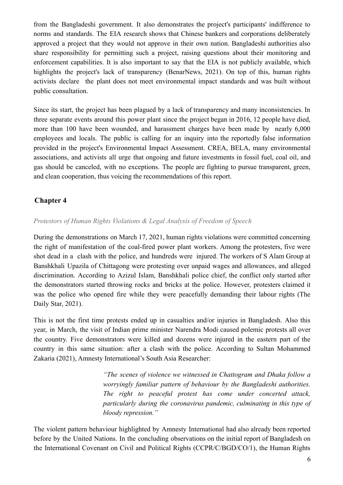from the Bangladeshi government. It also demonstrates the project's participants' indifference to norms and standards. The EIA research shows that Chinese bankers and corporations deliberately approved a project that they would not approve in their own nation. Bangladeshi authorities also share responsibility for permitting such a project, raising questions about their monitoring and enforcement capabilities. It is also important to say that the EIA is not publicly available, which highlights the project's lack of transparency (BenarNews, 2021). On top of this, human rights activists declare the plant does not meet environmental impact standards and was built without public consultation.

Since its start, the project has been plagued by a lack of transparency and many inconsistencies. In three separate events around this power plant since the project began in 2016, 12 people have died, more than 100 have been wounded, and harassment charges have been made by nearly 6,000 employees and locals. The public is calling for an inquiry into the reportedly false information provided in the project's Environmental Impact Assessment. CREA, BELA, many environmental associations, and activists all urge that ongoing and future investments in fossil fuel, coal oil, and gas should be canceled, with no exceptions. The people are fighting to pursue transparent, green, and clean cooperation, thus voicing the recommendations of this report.

## **Chapter 4**

#### *Protestors of Human Rights Violations & Legal Analysis of Freedom of Speech*

During the demonstrations on March 17, 2021, human rights violations were committed concerning the right of manifestation of the coal-fired power plant workers. Among the protesters, five were shot dead in a clash with the police, and hundreds were injured. The workers of S Alam Group at Banshkhali Upazila of Chittagong were protesting over unpaid wages and allowances, and alleged discrimination. According to Azizul Islam, Banshkhali police chief, the conflict only started after the demonstrators started throwing rocks and bricks at the police. However, protesters claimed it was the police who opened fire while they were peacefully demanding their labour rights (The Daily Star, 2021).

This is not the first time protests ended up in casualties and/or injuries in Bangladesh. Also this year, in March, the visit of Indian prime minister Narendra Modi caused polemic protests all over the country. Five demonstrators were killed and dozens were injured in the eastern part of the country in this same situation: after a clash with the police. According to Sultan Mohammed Zakaria (2021), Amnesty International's South Asia Researcher:

> *"The scenes of violence we witnessed in Chattogram and Dhaka follow a worryingly familiar pattern of behaviour by the Bangladeshi authorities. The right to peaceful protest has come under concerted attack, particularly during the coronavirus pandemic, culminating in this type of bloody repression."*

The violent pattern behaviour highlighted by Amnesty International had also already been reported before by the United Nations. In the concluding observations on the initial report of Bangladesh on the International Covenant on Civil and Political Rights (CCPR/C/BGD/CO/1), the Human Rights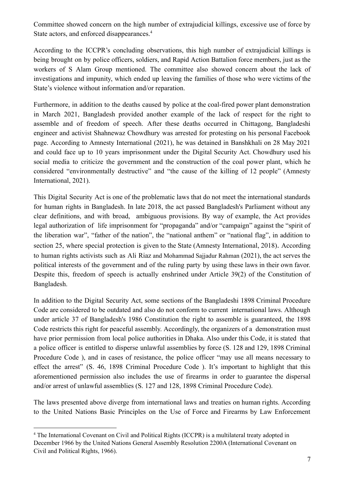Committee showed concern on the high number of extrajudicial killings, excessive use of force by State actors, and enforced disappearances.<sup>4</sup>

According to the ICCPR's concluding observations, this high number of extrajudicial killings is being brought on by police officers, soldiers, and Rapid Action Battalion force members, just as the workers of S Alam Group mentioned. The committee also showed concern about the lack of investigations and impunity, which ended up leaving the families of those who were victims of the State's violence without information and/or reparation.

Furthermore, in addition to the deaths caused by police at the coal-fired power plant demonstration in March 2021, Bangladesh provided another example of the lack of respect for the right to assemble and of freedom of speech. After these deaths occurred in Chittagong, Bangladeshi engineer and activist Shahnewaz Chowdhury was arrested for protesting on his personal Facebook page. According to Amnesty International (2021), he was detained in Banshkhali on 28 May 2021 and could face up to 10 years imprisonment under the Digital Security Act. Chowdhury used his social media to criticize the government and the construction of the coal power plant, which he considered "environmentally destructive" and "the cause of the killing of 12 people" (Amnesty International, 2021).

This Digital Security Act is one of the problematic laws that do not meet the international standards for human rights in Bangladesh. In late 2018, the act passed Bangladesh's Parliament without any clear definitions, and with broad, ambiguous provisions. By way of example, the Act provides legal authorization of life imprisonment for "propaganda" and/or "campaign" against the "spirit of the liberation war", "father of the nation", the "national anthem" or "national flag", in addition to section 25, where special protection is given to the State (Amnesty International, 2018). According to human rights activists such as Ali Riaz and Mohammad Sajjadur Rahman (2021), the act serves the political interests of the government and of the ruling party by using these laws in their own favor. Despite this, freedom of speech is actually enshrined under Article 39(2) of the Constitution of Bangladesh.

In addition to the Digital Security Act, some sections of the Bangladeshi 1898 Criminal Procedure Code are considered to be outdated and also do not conform to current international laws. Although under article 37 of Bangladesh's 1986 Constitution the right to assemble is guaranteed, the 1898 Code restricts this right for peaceful assembly. Accordingly, the organizers of a demonstration must have prior permission from local police authorities in Dhaka. Also under this Code, it is stated that a police officer is entitled to disperse unlawful assemblies by force (S. 128 and 129, 1898 Criminal Procedure Code ), and in cases of resistance, the police officer "may use all means necessary to effect the arrest" (S. 46, 1898 Criminal Procedure Code ). It's important to highlight that this aforementioned permission also includes the use of firearms in order to guarantee the dispersal and/or arrest of unlawful assemblies (S. 127 and 128, 1898 Criminal Procedure Code).

The laws presented above diverge from international laws and treaties on human rights. According to the United Nations Basic Principles on the Use of Force and Firearms by Law Enforcement

<sup>&</sup>lt;sup>4</sup> The International Covenant on Civil and Political Rights (ICCPR) is a multilateral treaty adopted in December 1966 by the United Nations General Assembly Resolution 2200A (International Covenant on Civil and Political Rights, 1966).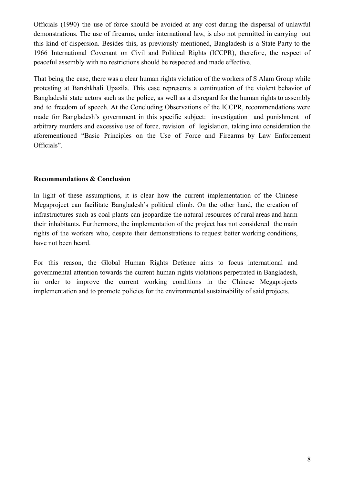Officials (1990) the use of force should be avoided at any cost during the dispersal of unlawful demonstrations. The use of firearms, under international law, is also not permitted in carrying out this kind of dispersion. Besides this, as previously mentioned, Bangladesh is a State Party to the 1966 International Covenant on Civil and Political Rights (ICCPR), therefore, the respect of peaceful assembly with no restrictions should be respected and made effective.

That being the case, there was a clear human rights violation of the workers of S Alam Group while protesting at Banshkhali Upazila. This case represents a continuation of the violent behavior of Bangladeshi state actors such as the police, as well as a disregard for the human rights to assembly and to freedom of speech. At the Concluding Observations of the ICCPR, recommendations were made for Bangladesh's government in this specific subject: investigation and punishment of arbitrary murders and excessive use of force, revision of legislation, taking into consideration the aforementioned "Basic Principles on the Use of Force and Firearms by Law Enforcement Officials".

#### **Recommendations & Conclusion**

In light of these assumptions, it is clear how the current implementation of the Chinese Megaproject can facilitate Bangladesh's political climb. On the other hand, the creation of infrastructures such as coal plants can jeopardize the natural resources of rural areas and harm their inhabitants. Furthermore, the implementation of the project has not considered the main rights of the workers who, despite their demonstrations to request better working conditions, have not been heard.

For this reason, the Global Human Rights Defence aims to focus international and governmental attention towards the current human rights violations perpetrated in Bangladesh, in order to improve the current working conditions in the Chinese Megaprojects implementation and to promote policies for the environmental sustainability of said projects.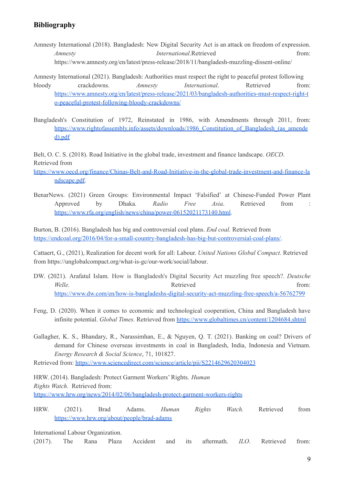### **Bibliography**

- Amnesty International (2018). Bangladesh: New Digital Security Act is an attack on freedom of expression. *Amnesty International***.Retrieved from:** <https://www.amnesty.org/en/latest/press-release/2018/11/bangladesh-muzzling-dissent-online/>
- Amnesty International (2021). Bangladesh: Authorities must respect the right to peaceful protest following bloody crackdowns. *Amnesty International*. Retrieved from: [https://www.amnesty.org/en/latest/press-release/2021/03/bangladesh-authorities-must-respect-right-t](https://www.amnesty.org/en/latest/press-release/2021/03/bangladesh-authorities-must-respect-right-to-peaceful-protest-following-bloody-crackdowns/) [o-peaceful-protest-following-bloody-crackdowns/](https://www.amnesty.org/en/latest/press-release/2021/03/bangladesh-authorities-must-respect-right-to-peaceful-protest-following-bloody-crackdowns/)
- Bangladesh's Constitution of 1972, Reinstated in 1986, with Amendments through 2011, from: [https://www.rightofassembly.info/assets/downloads/1986\\_Constitution\\_of\\_Bangladesh\\_\(as\\_amende](https://www.rightofassembly.info/assets/downloads/1986_Constitution_of_Bangladesh_(as_amended).pdf) [d\).pdf](https://www.rightofassembly.info/assets/downloads/1986_Constitution_of_Bangladesh_(as_amended).pdf)

Belt, O. C. S. (2018). Road Initiative in the global trade, investment and finance landscape. *OECD*. Retrieved fro[m](https://www.oecd.org/finance/Chinas-Belt-and-Road-Initiative-in-the-global-trade-investment-and-finance-landscape.pdf)

[https://www.oecd.org/finance/Chinas-Belt-and-Road-Initiative-in-the-global-trade-investment-and-finance-la](https://www.oecd.org/finance/Chinas-Belt-and-Road-Initiative-in-the-global-trade-investment-and-finance-landscape.pdf) [ndscape.pdf](https://www.oecd.org/finance/Chinas-Belt-and-Road-Initiative-in-the-global-trade-investment-and-finance-landscape.pdf).

BenarNews. (2021) Green Groups: Environmental Impact 'Falsified' at Chinese-Funded Power Plant Approved by Dhaka. *Radio Free Asia*. Retrieved from : <https://www.rfa.org/english/news/china/power-06152021173140.html>.

Burton, B. (2016). Bangladesh has big and controversial coal plans. *End coal.* Retrieved from <https://endcoal.org/2016/04/for-a-small-country-bangladesh-has-big-but-controversial-coal-plans/>.

Cattaert, G., (2021), Realization for decent work for all: Labour. *United Nations Global Compact.* Retrieved from <https://unglobalcompact.org/what-is-gc/our-work/social/labour>.

- DW. (2021). Arafatul Islam. How is Bangladesh's Digital Security Act muzzling free speech?. *Deutsche Welle.* **Retrieved from:** <https://www.dw.com/en/how-is-bangladeshs-digital-security-act-muzzling-free-speech/a-56762799>
- Feng, D. (2020). When it comes to economic and technological cooperation, China and Bangladesh have infinite potential. *Global Times.* Retrieved from <https://www.globaltimes.cn/content/1204684.shtml>
- Gallagher, K. S., Bhandary, R., Narassimhan, E., & Nguyen, Q. T. (2021). Banking on coal? Drivers of demand for Chinese overseas investments in coal in Bangladesh, India, Indonesia and Vietnam. *Energy Research & Social Science*, 71, 101827.

Retrieved from: <https://www.sciencedirect.com/science/article/pii/S2214629620304023>

HRW. (2014). Bangladesh: Protect Garment Workers' Rights. *Human Rights Watch.* Retrieved from: <https://www.hrw.org/news/2014/02/06/bangladesh-protect-garment-workers-rights>

HRW. (2021). Brad Adams. *Human Rights Watch.* Retrieved fro[m](https://www.hrw.org/about/people/brad-adams) <https://www.hrw.org/about/people/brad-adams>

International Labour Organization.

(2017). The Rana Plaza Accident and its aftermath. *ILO*. Retrieved from: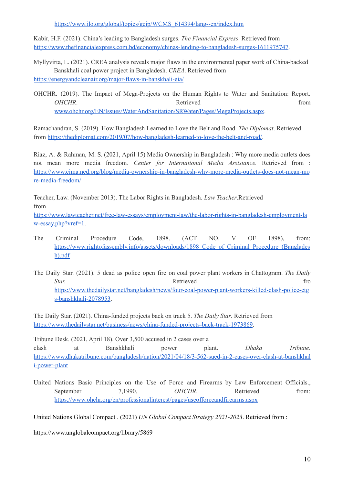[https://www.ilo.org/global/topics/geip/WCMS\\_614394/lang--en/index.htm](https://www.ilo.org/global/topics/geip/WCMS_614394/lang--en/index.htm)

Kabir, H.F. (2021). China's leading to Bangladesh surges. *The Financial Express*. Retrieved fro[m](https://www.thefinancialexpress.com.bd/economy/chinas-lending-to-bangladesh-surges-1611975747) <https://www.thefinancialexpress.com.bd/economy/chinas-lending-to-bangladesh-surges-1611975747>.

Myllyvirta, L. (2021). CREA analysis reveals major flaws in the environmental paper work of China-backed Banskhali coal power project in Bangladesh. *CREA*. Retrieved from <https://energyandcleanair.org/major-flaws-in-banskhali-eia/>

OHCHR. (2019). The Impact of Mega-Projects on the Human Rights to Water and Sanitation: Report. *OHCHR*. **Retrieved** from *Retrieved* from [www.ohchr.org/EN/Issues/WaterAndSanitation/SRWater/Pages/MegaProjects.aspx](http://www.ohchr.org/EN/Issues/WaterAndSanitation/SRWater/Pages/MegaProjects.aspx).

Ramachandran, S. (2019). How Bangladesh Learned to Love the Belt and Road. *The Diplomat*. Retrieved from <https://thediplomat.com/2019/07/how-bangladesh-learned-to-love-the-belt-and-road/>.

Riaz, A. & Rahman, M. S. (2021, April 15) Media Ownership in Bangladesh : Why more media outlets does not mean more media freedom*. Center for International Media Assistance.* Retrieved from : [https://www.cima.ned.org/blog/media-ownership-in-bangladesh-why-more-media-outlets-does-not-mean-mo](https://www.cima.ned.org/blog/media-ownership-in-bangladesh-why-more-media-outlets-does-not-mean-more-media-freedom/) [re-media-freedom/](https://www.cima.ned.org/blog/media-ownership-in-bangladesh-why-more-media-outlets-does-not-mean-more-media-freedom/)

Teacher, Law. (November 2013). The Labor Rights in Bangladesh. *Law Teacher*.Retrieved from

[https://www.lawteacher.net/free-law-essays/employment-law/the-labor-rights-in-bangladesh-employment-la](https://www.lawteacher.net/free-law-essays/employment-law/the-labor-rights-in-bangladesh-employment-law-essay.php?vref=1) [w-essay.php?vref=1.](https://www.lawteacher.net/free-law-essays/employment-law/the-labor-rights-in-bangladesh-employment-law-essay.php?vref=1)

- The Criminal Procedure Code, 1898. (ACT NO. V OF 1898), from[:](https://www.rightofassembly.info/assets/downloads/1898_Code_of_Criminal_Procedure_(Bangladesh).pdf) [https://www.rightofassembly.info/assets/downloads/1898\\_Code\\_of\\_Criminal\\_Procedure\\_\(Banglades](https://www.rightofassembly.info/assets/downloads/1898_Code_of_Criminal_Procedure_(Bangladesh).pdf) [h\).pdf](https://www.rightofassembly.info/assets/downloads/1898_Code_of_Criminal_Procedure_(Bangladesh).pdf)
- The Daily Star. (2021). 5 dead as police open fire on coal power plant workers in Chattogram. *The Daily Star.* **Retrieved** from *Retrieved* from *Retrieved* from *Retrieved* from *Retrieved* from *Retrieved* from *Retrieved* from *Retrieved* from *Retrieved* from *Retrieved* from *Retrieved* from *Retrieved* from *Retrieved* [https://www.thedailystar.net/bangladesh/news/four-coal-power-plant-workers-killed-clash-police-ctg](https://www.thedailystar.net/bangladesh/news/four-coal-power-plant-workers-killed-clash-police-ctgs-banshkhali-2078953) [s-banshkhali-2078953](https://www.thedailystar.net/bangladesh/news/four-coal-power-plant-workers-killed-clash-police-ctgs-banshkhali-2078953).

The Daily Star. (2021). China-funded projects back on track 5. *The Daily Star*. Retrieved from <https://www.thedailystar.net/business/news/china-funded-projects-back-track-1973869>.

Tribune Desk. (2021, April 18). Over 3,500 accused in 2 cases over a clash at Banshkhali power plant. *Dhaka Tribune.* [https://www.dhakatribune.com/bangladesh/nation/2021/04/18/3-562-sued-in-2-cases-over-clash-at-banshkhal](https://www.dhakatribune.com/bangladesh/nation/2021/04/18/3-562-sued-in-2-cases-over-clash-at-banshkhali-power-plant) [i-power-plant](https://www.dhakatribune.com/bangladesh/nation/2021/04/18/3-562-sued-in-2-cases-over-clash-at-banshkhali-power-plant)

United Nations Basic Principles on the Use of Force and Firearms by Law Enforcement Officials., September 7,1990. OHCHR. Retrieved from[:](https://www.ohchr.org/en/professionalinterest/pages/useofforceandfirearms.aspx) <https://www.ohchr.org/en/professionalinterest/pages/useofforceandfirearms.aspx>

United Nations Global Compact . (2021) *UN Global Compact Strategy 2021-2023*. Retrieved from :

<https://www.unglobalcompact.org/library/5869>